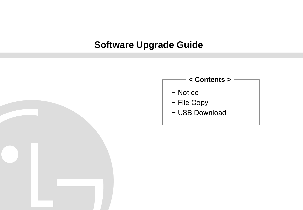# **Software Upgrade Guide**



- Notice
- File Copy
- USB Download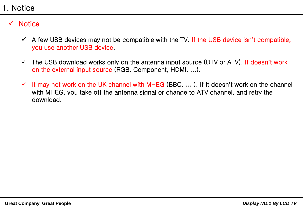1. Notice

#### $\checkmark$  Notice

- A few USB devices may not be compatible with the TV. If the USB device isn**'**t compatible, you use another USB device.
- The USB download works only on the antenna input source (DTV or ATV). It doesn**'**t work on the external input source (RGB, Component, HDMI, **…**).
- It may not work on the UK channel with MHEG (BBC, **…** ). If it doesn**'**t work on the channel with MHEG, you take off the antenna signal or change to ATV channel, and retry the download.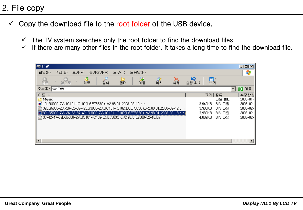#### 2. File copy

- $\checkmark$  Copy the download file to the root folder of the USB device.
	- $\checkmark$  The TV system searches only the root folder to find the download files.
	- $\checkmark$  If there are many other files in the root folder, it takes a long time to find the download file.

| $\blacktriangleright$ F:\ |                                                             |                |          |         |         |                                                                      |                                                                                    |         |            |         |        | $\Box$ d $\boxtimes$ |
|---------------------------|-------------------------------------------------------------|----------------|----------|---------|---------|----------------------------------------------------------------------|------------------------------------------------------------------------------------|---------|------------|---------|--------|----------------------|
| 파일 $(E)$                  | 편집(E)                                                       | 보기( <u>V</u> ) |          | 즐겨찾기(A) | 도구(T)   | 도움말(土)                                                               |                                                                                    |         |            |         |        | 4                    |
| Q<br>兒                    | ≌s≅                                                         |                | 5,<br>위로 | 검색      | r<br>폴더 | 國<br>이동                                                              | O<br>복사                                                                            | ×<br>삭제 | 叼<br>실행 취소 | 酆       |        |                      |
| 주소( <u>D)</u>             | <del>V</del> F:₩                                            |                |          |         |         |                                                                      |                                                                                    |         |            |         |        | $\rightarrow$ 이동     |
| 이름                        |                                                             |                |          |         |         |                                                                      |                                                                                    |         |            | 크기ㅣ     | 종류     | 수정한 날                |
| <b>In Music</b>           |                                                             |                |          |         |         |                                                                      |                                                                                    |         |            |         | 파일 폴더  | $2008 - 01 -$        |
|                           | ■ 19LG3000-ZA_IC101-IC102(LGE7363C)_V2,98,01_2008-02-19,bin |                |          |         |         |                                                                      |                                                                                    |         |            | 3.940KB | BIN 파일 | 2008-02-             |
|                           |                                                             |                |          |         |         |                                                                      | [d] 32LG5000-ZA-26-32-37-42LG3000-ZALIC101-IC102(LGE7363C)_V2,88,01_2008-02-12,bin |         |            | 3,980KB | BIN 파일 | $2008 - 02 -$        |
|                           |                                                             |                |          |         |         |                                                                      | a 32LG5000-ZA-26-32-37-42LG3000-ZALIC101-IC102(LGE7363C)_V2,98,01_2008-02-18,bin   |         |            | 3,980KB | BIN 파일 | $2008 - 02 -$        |
|                           |                                                             |                |          |         |         | ■ 37-42-47-52LG5000-ZALIC101-IC102(LGE7363C)_V2,98,01_2008-02-18,bin |                                                                                    |         |            | 4.082KB | BIN 파일 | 2008-02-             |
|                           |                                                             |                |          |         |         |                                                                      |                                                                                    |         |            |         |        |                      |
|                           |                                                             |                |          |         |         |                                                                      |                                                                                    |         |            |         |        |                      |
| ◥                         |                                                             |                |          |         |         |                                                                      |                                                                                    |         |            |         |        |                      |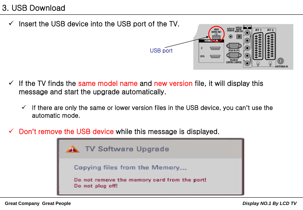## 3. USB Download

 $\checkmark$  Insert the USB device into the USB port of the TV.



- $\checkmark$  If the TV finds the same model name and new version file, it will display this message and start the upgrade automatically.
	- If there are only the same or lower version files in the USB device, you can**'**t use the automatic mode.
- Don**'**t remove the USB device while this message is displayed.

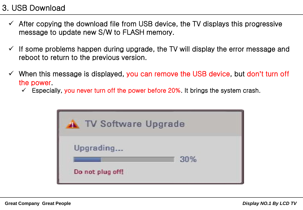### 3. USB Download

- $\checkmark$  After copying the download file from USB device, the TV displays this progressive message to update new S/W to FLASH memory.
- $\checkmark$  If some problems happen during upgrade, the TV will display the error message and reboot to return to the previous version.
- When this message is displayed, you can remove the USB device, but don**'**t turn off the power.
	- $\checkmark$  Especially, you never turn off the power before 20%. It brings the system crash.

| <b>TV Software Upgrade</b>           |  |
|--------------------------------------|--|
| Upgrading<br>30%<br>Do not plug off! |  |